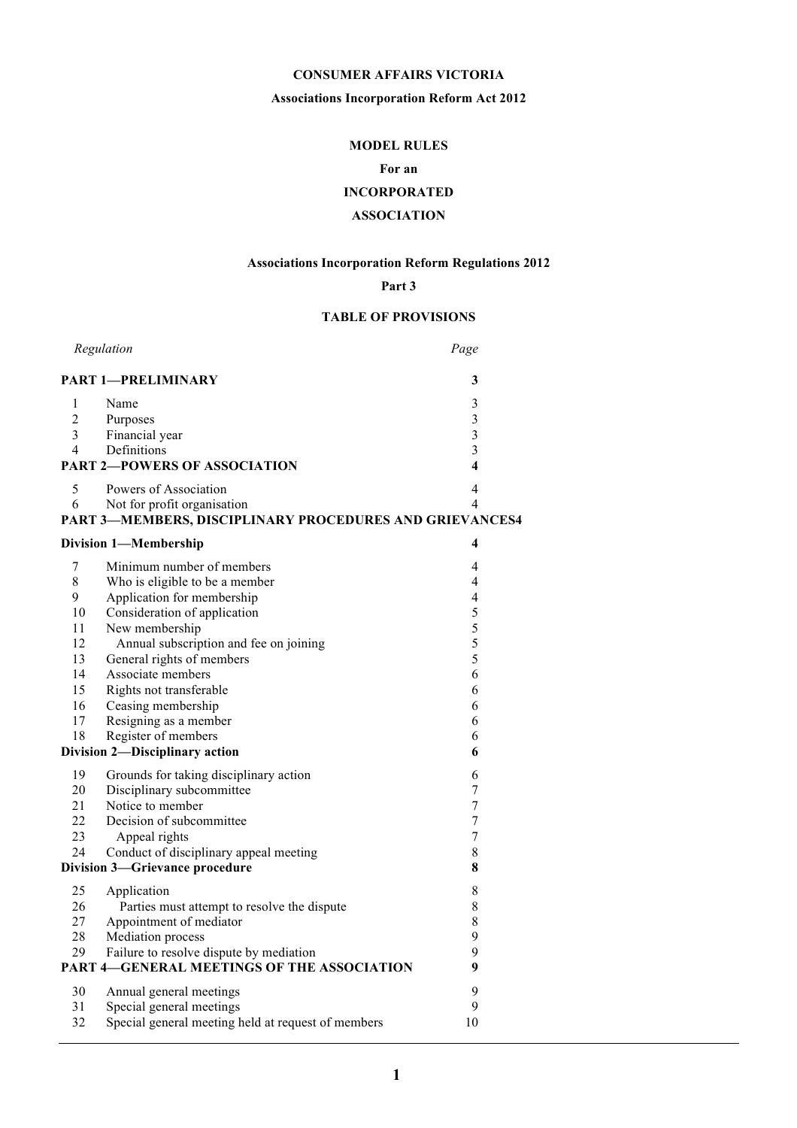# **CONSUMER AFFAIRS VICTORIA**

# **Associations Incorporation Reform Act 2012**

# **MODEL RULES**

# **For an**

# **INCORPORATED**

# **ASSOCIATION**

# **Associations Incorporation Reform Regulations 2012**

# **Part 3**

# **TABLE OF PROVISIONS**

| Regulation     |                                                         | Page                    |  |
|----------------|---------------------------------------------------------|-------------------------|--|
|                | <b>PART 1-PRELIMINARY</b>                               | 3                       |  |
| 1              | Name                                                    | $\mathfrak{Z}$          |  |
| $\overline{2}$ | Purposes                                                | $\overline{3}$          |  |
| 3              | Financial year                                          | $\overline{3}$          |  |
| 4              | Definitions                                             | $\overline{3}$          |  |
|                | <b>PART 2-POWERS OF ASSOCIATION</b>                     | $\overline{\mathbf{4}}$ |  |
| 5              | Powers of Association                                   | 4                       |  |
| 6              | Not for profit organisation                             | $\overline{4}$          |  |
|                | PART 3-MEMBERS, DISCIPLINARY PROCEDURES AND GRIEVANCES4 |                         |  |
|                | <b>Division 1-Membership</b>                            | 4                       |  |
| 7              | Minimum number of members                               | 4                       |  |
| 8              | Who is eligible to be a member                          | 4                       |  |
| 9              | Application for membership                              | 4                       |  |
| 10             | Consideration of application                            | 5                       |  |
| 11             | New membership                                          | 5                       |  |
| 12             | Annual subscription and fee on joining                  | 5                       |  |
| 13             | General rights of members                               | 5                       |  |
| 14             | Associate members                                       | 6                       |  |
| 15             | Rights not transferable                                 | 6                       |  |
| 16             | Ceasing membership                                      | 6                       |  |
| 17             | Resigning as a member                                   | 6                       |  |
| 18             | Register of members                                     | 6                       |  |
|                | Division 2-Disciplinary action                          | 6                       |  |
| 19             | Grounds for taking disciplinary action                  | 6                       |  |
| 20             | Disciplinary subcommittee                               | $\overline{7}$          |  |
| 21             | Notice to member                                        | 7                       |  |
| 22             | Decision of subcommittee                                | $\overline{7}$          |  |
| 23             | Appeal rights                                           | $\overline{7}$          |  |
| 24             | Conduct of disciplinary appeal meeting                  | $\,$ 8 $\,$             |  |
|                | Division 3-Grievance procedure                          | 8                       |  |
| 25             | Application                                             | $\,$ 8 $\,$             |  |
| 26             | Parties must attempt to resolve the dispute             | 8                       |  |
| 27             | Appointment of mediator                                 | $\,$ 8 $\,$             |  |
| 28             | Mediation process                                       | 9                       |  |
| 29             | Failure to resolve dispute by mediation                 | 9                       |  |
|                | <b>PART 4-GENERAL MEETINGS OF THE ASSOCIATION</b>       | 9                       |  |
| 30             | Annual general meetings                                 | 9                       |  |
| 31             | Special general meetings                                | 9                       |  |
| 32             | Special general meeting held at request of members      | 10                      |  |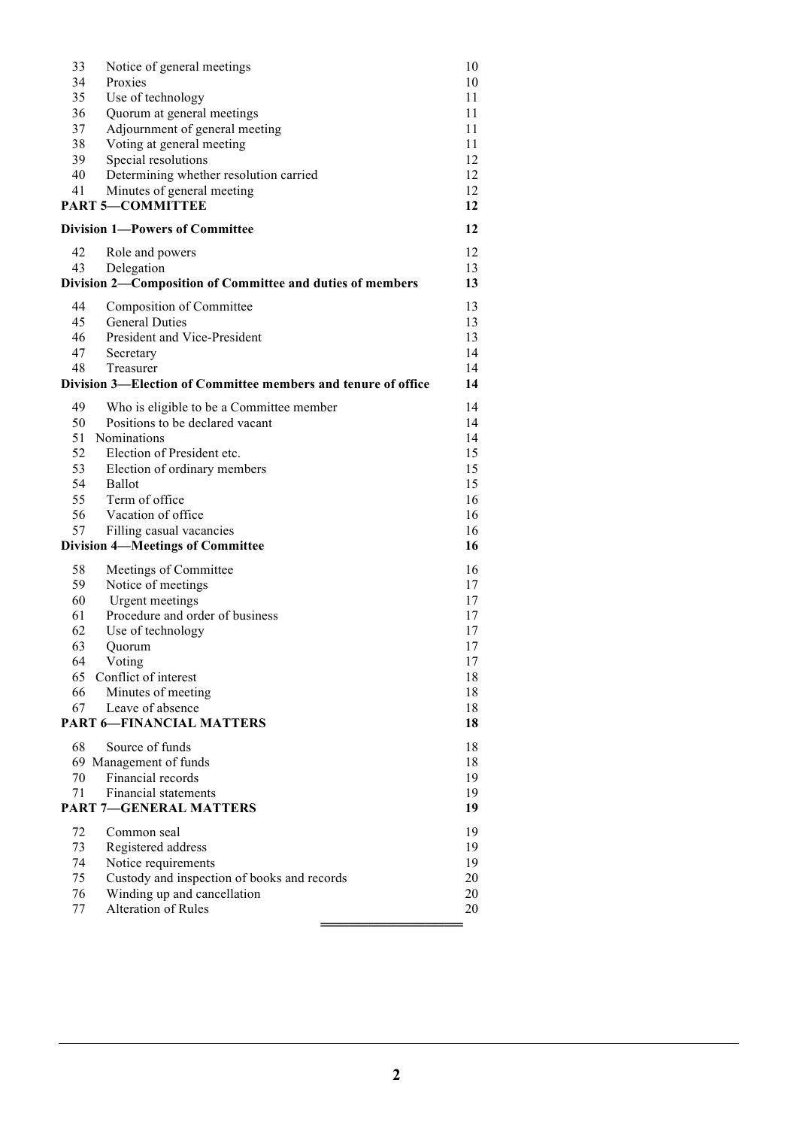| 33                                    | Notice of general meetings                                    | 10       |  |
|---------------------------------------|---------------------------------------------------------------|----------|--|
| 34                                    | Proxies                                                       | 10       |  |
| 35                                    | Use of technology                                             | 11       |  |
| 36                                    | Quorum at general meetings                                    | 11       |  |
| 37                                    | Adjournment of general meeting                                | 11       |  |
| 38                                    | Voting at general meeting                                     | 11       |  |
| 39                                    | Special resolutions                                           | 12       |  |
| 40                                    | Determining whether resolution carried                        | 12       |  |
| 41                                    | Minutes of general meeting                                    | 12       |  |
|                                       | <b>PART 5-COMMITTEE</b>                                       | 12       |  |
| <b>Division 1-Powers of Committee</b> |                                                               |          |  |
|                                       |                                                               | 12       |  |
| 42                                    | Role and powers                                               | 12       |  |
| 43                                    | Delegation                                                    | 13       |  |
|                                       | Division 2-Composition of Committee and duties of members     | 13       |  |
| 44                                    | Composition of Committee                                      | 13       |  |
| 45                                    | <b>General Duties</b>                                         | 13       |  |
| 46                                    | President and Vice-President                                  | 13       |  |
| 47                                    | Secretary                                                     | 14       |  |
| 48                                    | Treasurer                                                     | 14       |  |
|                                       | Division 3—Election of Committee members and tenure of office | 14       |  |
| 49                                    | Who is eligible to be a Committee member                      | 14       |  |
| 50                                    | Positions to be declared vacant                               | 14       |  |
|                                       | 51 Nominations                                                | 14       |  |
| 52                                    | Election of President etc.                                    | 15       |  |
| 53                                    | Election of ordinary members                                  | 15       |  |
| 54                                    | Ballot                                                        | 15       |  |
| 55                                    | Term of office                                                | 16       |  |
| 56                                    | Vacation of office                                            | 16       |  |
| 57                                    | Filling casual vacancies                                      | 16       |  |
|                                       | <b>Division 4-Meetings of Committee</b>                       | 16       |  |
|                                       |                                                               |          |  |
| 58                                    | Meetings of Committee                                         | 16       |  |
| 59                                    | Notice of meetings                                            | 17       |  |
| 60                                    | <b>Urgent</b> meetings                                        | 17       |  |
| 61                                    | Procedure and order of business                               | 17       |  |
| 62                                    | Use of technology                                             | 17       |  |
| 63                                    | Quorum                                                        | 17       |  |
| 64                                    | Voting                                                        | 17       |  |
| 65                                    | Conflict of interest                                          | 18       |  |
| 66                                    | Minutes of meeting                                            | 18       |  |
| 67                                    | Leave of absence                                              | 18<br>18 |  |
| <b>PART 6-FINANCIAL MATTERS</b>       |                                                               |          |  |
| 68                                    | Source of funds                                               | 18       |  |
|                                       | 69 Management of funds                                        | 18       |  |
| 70                                    | Financial records                                             | 19       |  |
| 71                                    | <b>Financial statements</b>                                   | 19       |  |
| <b>PART 7-GENERAL MATTERS</b>         |                                                               | 19       |  |
| 72                                    | Common seal                                                   | 19       |  |
| 73                                    | Registered address                                            | 19       |  |
| 74                                    | Notice requirements                                           | 19       |  |
| 75                                    | Custody and inspection of books and records                   | 20       |  |
| 76                                    | Winding up and cancellation                                   | 20       |  |
| 77                                    | Alteration of Rules                                           | 20       |  |
|                                       |                                                               |          |  |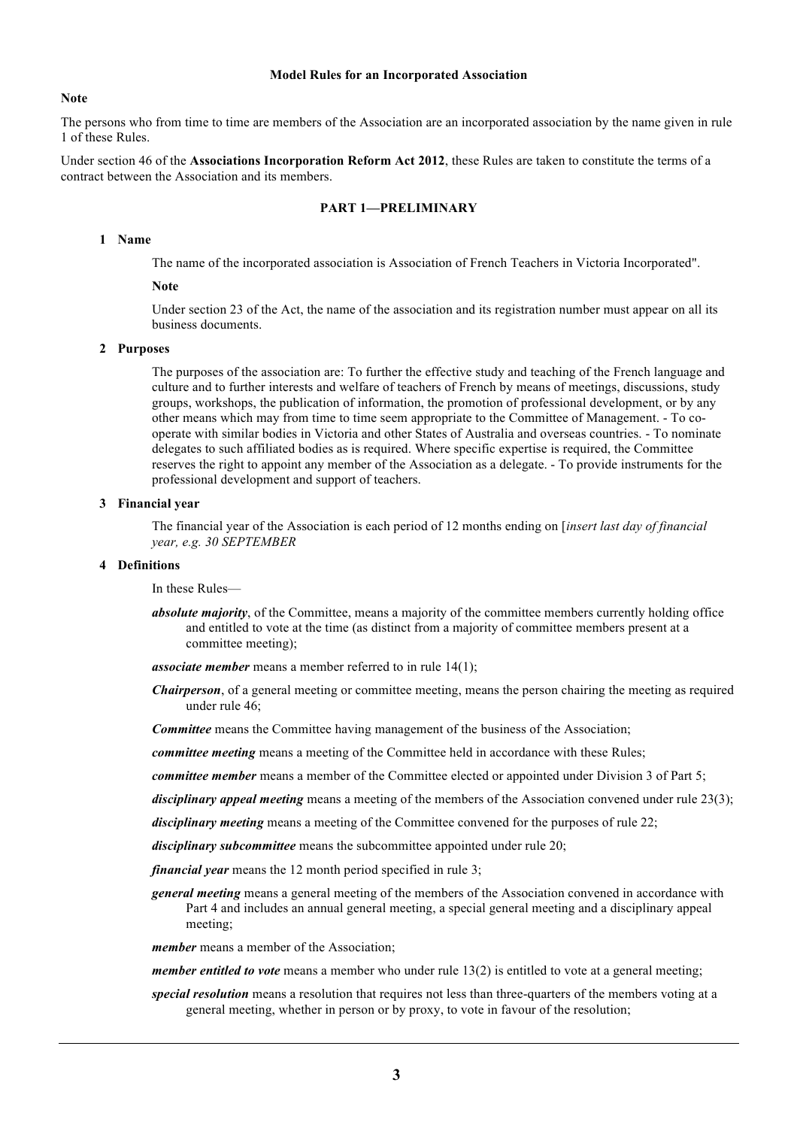#### **Model Rules for an Incorporated Association**

#### **Note**

The persons who from time to time are members of the Association are an incorporated association by the name given in rule 1 of these Rules.

Under section 46 of the **Associations Incorporation Reform Act 2012**, these Rules are taken to constitute the terms of a contract between the Association and its members.

# **PART 1—PRELIMINARY**

# **1 Name**

The name of the incorporated association is Association of French Teachers in Victoria Incorporated".

# **Note**

Under section 23 of the Act, the name of the association and its registration number must appear on all its business documents.

# **2 Purposes**

The purposes of the association are: To further the effective study and teaching of the French language and culture and to further interests and welfare of teachers of French by means of meetings, discussions, study groups, workshops, the publication of information, the promotion of professional development, or by any other means which may from time to time seem appropriate to the Committee of Management. - To cooperate with similar bodies in Victoria and other States of Australia and overseas countries. - To nominate delegates to such affiliated bodies as is required. Where specific expertise is required, the Committee reserves the right to appoint any member of the Association as a delegate. - To provide instruments for the professional development and support of teachers.

#### **3 Financial year**

The financial year of the Association is each period of 12 months ending on [*insert last day of financial year, e.g. 30 SEPTEMBER*

# **4 Definitions**

In these Rules—

*absolute majority*, of the Committee, means a majority of the committee members currently holding office and entitled to vote at the time (as distinct from a majority of committee members present at a committee meeting);

*associate member* means a member referred to in rule 14(1);

*Chairperson*, of a general meeting or committee meeting, means the person chairing the meeting as required under rule 46;

*Committee* means the Committee having management of the business of the Association;

*committee meeting* means a meeting of the Committee held in accordance with these Rules;

*committee member* means a member of the Committee elected or appointed under Division 3 of Part 5;

*disciplinary appeal meeting* means a meeting of the members of the Association convened under rule 23(3);

*disciplinary meeting* means a meeting of the Committee convened for the purposes of rule 22;

*disciplinary subcommittee* means the subcommittee appointed under rule 20;

*financial year* means the 12 month period specified in rule 3;

*general meeting* means a general meeting of the members of the Association convened in accordance with Part 4 and includes an annual general meeting, a special general meeting and a disciplinary appeal meeting;

*member* means a member of the Association;

*member entitled to vote* means a member who under rule 13(2) is entitled to vote at a general meeting;

*special resolution* means a resolution that requires not less than three-quarters of the members voting at a general meeting, whether in person or by proxy, to vote in favour of the resolution;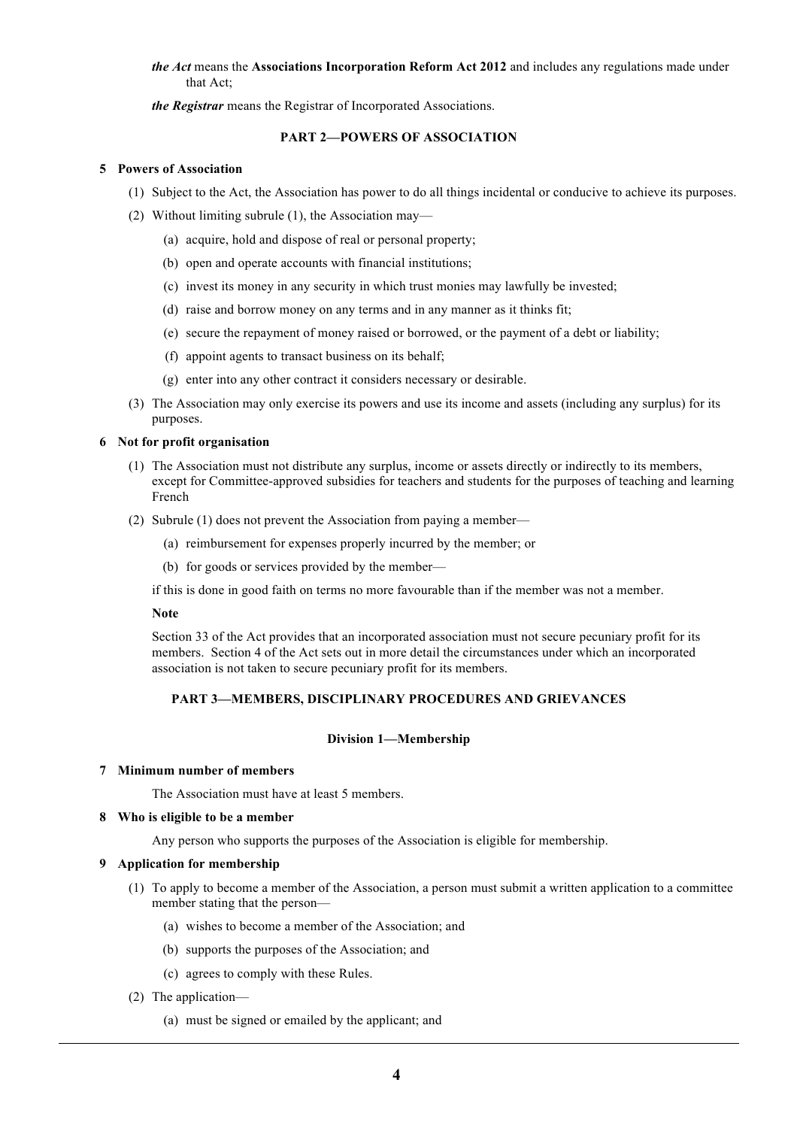# *the Act* means the **Associations Incorporation Reform Act 2012** and includes any regulations made under that Act;

*the Registrar* means the Registrar of Incorporated Associations.

# **PART 2—POWERS OF ASSOCIATION**

# **5 Powers of Association**

- (1) Subject to the Act, the Association has power to do all things incidental or conducive to achieve its purposes.
- (2) Without limiting subrule (1), the Association may—
	- (a) acquire, hold and dispose of real or personal property;
	- (b) open and operate accounts with financial institutions;
	- (c) invest its money in any security in which trust monies may lawfully be invested;
	- (d) raise and borrow money on any terms and in any manner as it thinks fit;
	- (e) secure the repayment of money raised or borrowed, or the payment of a debt or liability;
	- (f) appoint agents to transact business on its behalf;
	- (g) enter into any other contract it considers necessary or desirable.
- (3) The Association may only exercise its powers and use its income and assets (including any surplus) for its purposes.

# **6 Not for profit organisation**

- (1) The Association must not distribute any surplus, income or assets directly or indirectly to its members, except for Committee-approved subsidies for teachers and students for the purposes of teaching and learning French
- (2) Subrule (1) does not prevent the Association from paying a member—
	- (a) reimbursement for expenses properly incurred by the member; or
	- (b) for goods or services provided by the member—

if this is done in good faith on terms no more favourable than if the member was not a member.

### **Note**

Section 33 of the Act provides that an incorporated association must not secure pecuniary profit for its members. Section 4 of the Act sets out in more detail the circumstances under which an incorporated association is not taken to secure pecuniary profit for its members.

# **PART 3—MEMBERS, DISCIPLINARY PROCEDURES AND GRIEVANCES**

# **Division 1—Membership**

### **7 Minimum number of members**

The Association must have at least 5 members.

### **8 Who is eligible to be a member**

Any person who supports the purposes of the Association is eligible for membership.

# **9 Application for membership**

- (1) To apply to become a member of the Association, a person must submit a written application to a committee member stating that the person—
	- (a) wishes to become a member of the Association; and
	- (b) supports the purposes of the Association; and
	- (c) agrees to comply with these Rules.
- (2) The application—
	- (a) must be signed or emailed by the applicant; and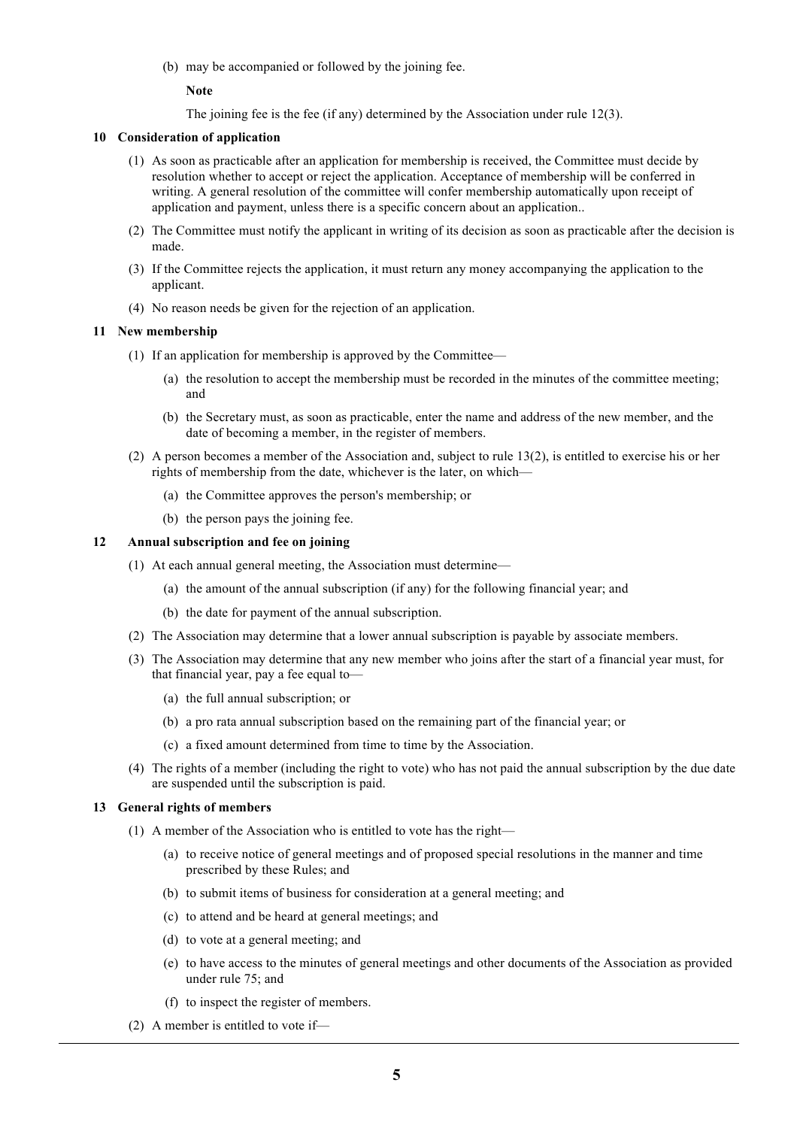(b) may be accompanied or followed by the joining fee.

**Note**

The joining fee is the fee (if any) determined by the Association under rule 12(3).

### **10 Consideration of application**

- (1) As soon as practicable after an application for membership is received, the Committee must decide by resolution whether to accept or reject the application. Acceptance of membership will be conferred in writing. A general resolution of the committee will confer membership automatically upon receipt of application and payment, unless there is a specific concern about an application..
- (2) The Committee must notify the applicant in writing of its decision as soon as practicable after the decision is made.
- (3) If the Committee rejects the application, it must return any money accompanying the application to the applicant.
- (4) No reason needs be given for the rejection of an application.

# **11 New membership**

- (1) If an application for membership is approved by the Committee—
	- (a) the resolution to accept the membership must be recorded in the minutes of the committee meeting; and
	- (b) the Secretary must, as soon as practicable, enter the name and address of the new member, and the date of becoming a member, in the register of members.
- (2) A person becomes a member of the Association and, subject to rule 13(2), is entitled to exercise his or her rights of membership from the date, whichever is the later, on which—
	- (a) the Committee approves the person's membership; or
	- (b) the person pays the joining fee.

# **12 Annual subscription and fee on joining**

- (1) At each annual general meeting, the Association must determine—
	- (a) the amount of the annual subscription (if any) for the following financial year; and
	- (b) the date for payment of the annual subscription.
- (2) The Association may determine that a lower annual subscription is payable by associate members.
- (3) The Association may determine that any new member who joins after the start of a financial year must, for that financial year, pay a fee equal to—
	- (a) the full annual subscription; or
	- (b) a pro rata annual subscription based on the remaining part of the financial year; or
	- (c) a fixed amount determined from time to time by the Association.
- (4) The rights of a member (including the right to vote) who has not paid the annual subscription by the due date are suspended until the subscription is paid.

### **13 General rights of members**

- (1) A member of the Association who is entitled to vote has the right—
	- (a) to receive notice of general meetings and of proposed special resolutions in the manner and time prescribed by these Rules; and
	- (b) to submit items of business for consideration at a general meeting; and
	- (c) to attend and be heard at general meetings; and
	- (d) to vote at a general meeting; and
	- (e) to have access to the minutes of general meetings and other documents of the Association as provided under rule 75; and
	- (f) to inspect the register of members.
- (2) A member is entitled to vote if—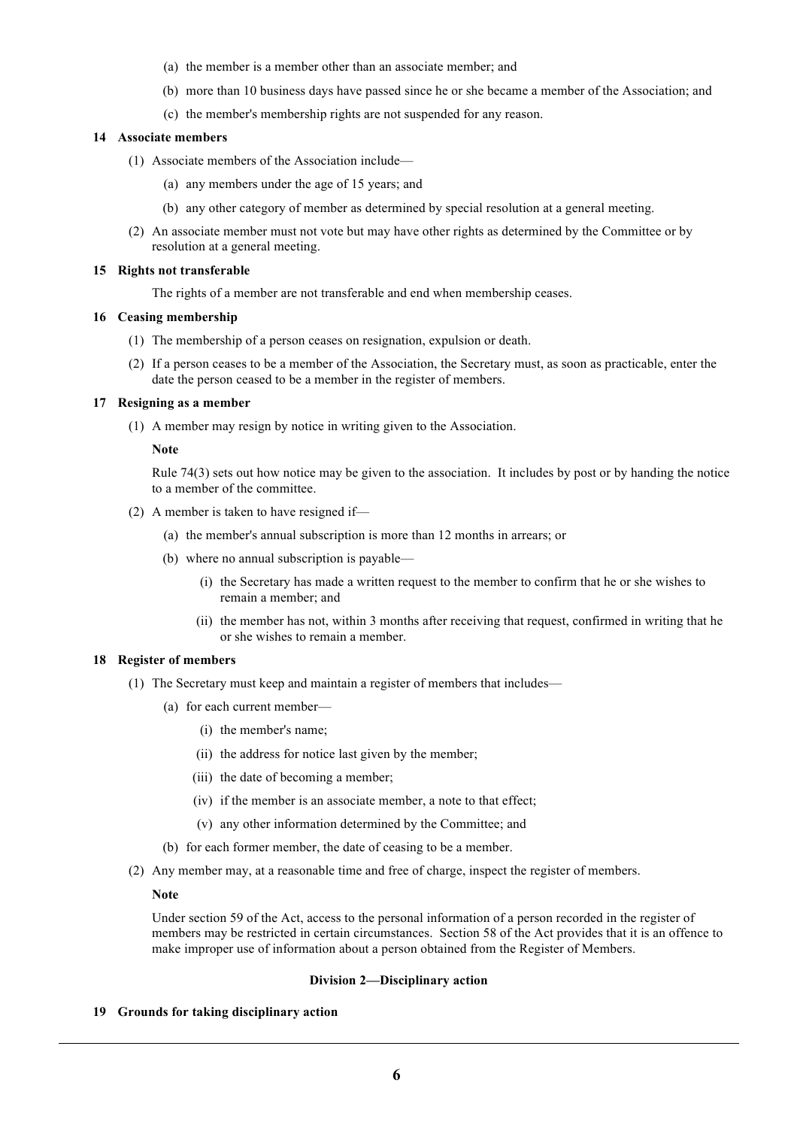- (a) the member is a member other than an associate member; and
- (b) more than 10 business days have passed since he or she became a member of the Association; and
- (c) the member's membership rights are not suspended for any reason.

## **14 Associate members**

- (1) Associate members of the Association include—
	- (a) any members under the age of 15 years; and
	- (b) any other category of member as determined by special resolution at a general meeting.
- (2) An associate member must not vote but may have other rights as determined by the Committee or by resolution at a general meeting.

### **15 Rights not transferable**

The rights of a member are not transferable and end when membership ceases.

# **16 Ceasing membership**

- (1) The membership of a person ceases on resignation, expulsion or death.
- (2) If a person ceases to be a member of the Association, the Secretary must, as soon as practicable, enter the date the person ceased to be a member in the register of members.

# **17 Resigning as a member**

(1) A member may resign by notice in writing given to the Association.

### **Note**

Rule 74(3) sets out how notice may be given to the association. It includes by post or by handing the notice to a member of the committee.

- (2) A member is taken to have resigned if—
	- (a) the member's annual subscription is more than 12 months in arrears; or
	- (b) where no annual subscription is payable—
		- (i) the Secretary has made a written request to the member to confirm that he or she wishes to remain a member; and
		- (ii) the member has not, within 3 months after receiving that request, confirmed in writing that he or she wishes to remain a member.

### **18 Register of members**

- (1) The Secretary must keep and maintain a register of members that includes—
	- (a) for each current member—
		- (i) the member's name;
		- (ii) the address for notice last given by the member;
		- (iii) the date of becoming a member;
		- (iv) if the member is an associate member, a note to that effect;
		- (v) any other information determined by the Committee; and
	- (b) for each former member, the date of ceasing to be a member.
- (2) Any member may, at a reasonable time and free of charge, inspect the register of members.

### **Note**

Under section 59 of the Act, access to the personal information of a person recorded in the register of members may be restricted in certain circumstances. Section 58 of the Act provides that it is an offence to make improper use of information about a person obtained from the Register of Members.

### **Division 2—Disciplinary action**

**19 Grounds for taking disciplinary action**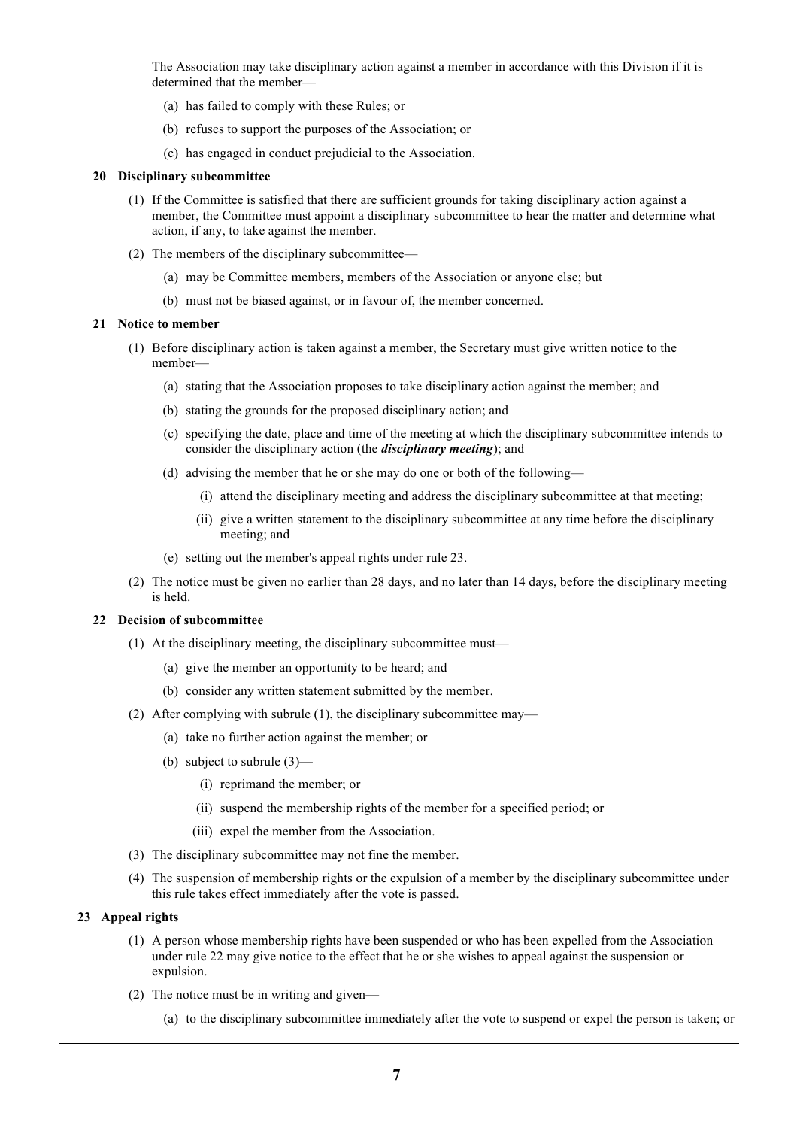The Association may take disciplinary action against a member in accordance with this Division if it is determined that the member—

- (a) has failed to comply with these Rules; or
- (b) refuses to support the purposes of the Association; or
- (c) has engaged in conduct prejudicial to the Association.

### **20 Disciplinary subcommittee**

- (1) If the Committee is satisfied that there are sufficient grounds for taking disciplinary action against a member, the Committee must appoint a disciplinary subcommittee to hear the matter and determine what action, if any, to take against the member.
- (2) The members of the disciplinary subcommittee—
	- (a) may be Committee members, members of the Association or anyone else; but
	- (b) must not be biased against, or in favour of, the member concerned.

# **21 Notice to member**

- (1) Before disciplinary action is taken against a member, the Secretary must give written notice to the member—
	- (a) stating that the Association proposes to take disciplinary action against the member; and
	- (b) stating the grounds for the proposed disciplinary action; and
	- (c) specifying the date, place and time of the meeting at which the disciplinary subcommittee intends to consider the disciplinary action (the *disciplinary meeting*); and
	- (d) advising the member that he or she may do one or both of the following—
		- (i) attend the disciplinary meeting and address the disciplinary subcommittee at that meeting;
		- (ii) give a written statement to the disciplinary subcommittee at any time before the disciplinary meeting; and
	- (e) setting out the member's appeal rights under rule 23.
- (2) The notice must be given no earlier than 28 days, and no later than 14 days, before the disciplinary meeting is held.

### **22 Decision of subcommittee**

- (1) At the disciplinary meeting, the disciplinary subcommittee must—
	- (a) give the member an opportunity to be heard; and
	- (b) consider any written statement submitted by the member.
- (2) After complying with subrule (1), the disciplinary subcommittee may—
	- (a) take no further action against the member; or
	- (b) subject to subrule (3)—
		- (i) reprimand the member; or
		- (ii) suspend the membership rights of the member for a specified period; or
		- (iii) expel the member from the Association.
- (3) The disciplinary subcommittee may not fine the member.
- (4) The suspension of membership rights or the expulsion of a member by the disciplinary subcommittee under this rule takes effect immediately after the vote is passed.

## **23 Appeal rights**

- (1) A person whose membership rights have been suspended or who has been expelled from the Association under rule 22 may give notice to the effect that he or she wishes to appeal against the suspension or expulsion.
- (2) The notice must be in writing and given—
	- (a) to the disciplinary subcommittee immediately after the vote to suspend or expel the person is taken; or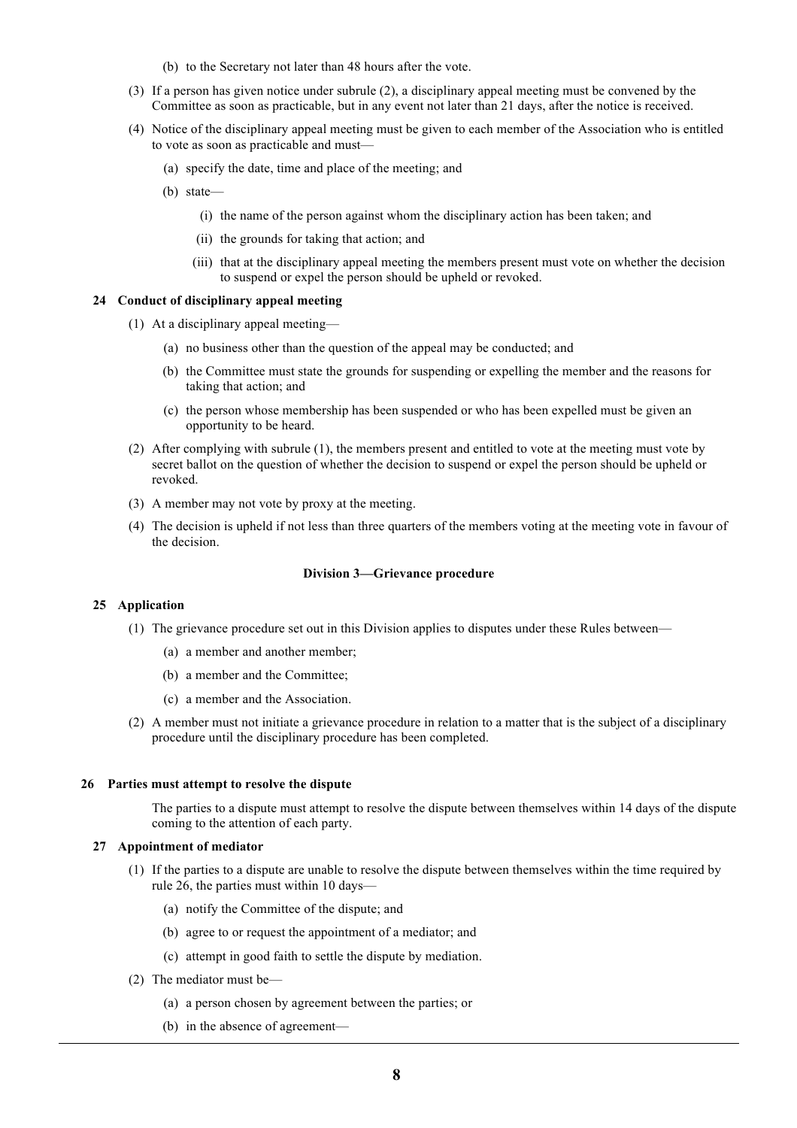- (b) to the Secretary not later than 48 hours after the vote.
- (3) If a person has given notice under subrule (2), a disciplinary appeal meeting must be convened by the Committee as soon as practicable, but in any event not later than 21 days, after the notice is received.
- (4) Notice of the disciplinary appeal meeting must be given to each member of the Association who is entitled to vote as soon as practicable and must—
	- (a) specify the date, time and place of the meeting; and
	- (b) state—
		- (i) the name of the person against whom the disciplinary action has been taken; and
		- (ii) the grounds for taking that action; and
		- (iii) that at the disciplinary appeal meeting the members present must vote on whether the decision to suspend or expel the person should be upheld or revoked.

# **24 Conduct of disciplinary appeal meeting**

- (1) At a disciplinary appeal meeting—
	- (a) no business other than the question of the appeal may be conducted; and
	- (b) the Committee must state the grounds for suspending or expelling the member and the reasons for taking that action; and
	- (c) the person whose membership has been suspended or who has been expelled must be given an opportunity to be heard.
- (2) After complying with subrule (1), the members present and entitled to vote at the meeting must vote by secret ballot on the question of whether the decision to suspend or expel the person should be upheld or revoked.
- (3) A member may not vote by proxy at the meeting.
- (4) The decision is upheld if not less than three quarters of the members voting at the meeting vote in favour of the decision.

#### **Division 3—Grievance procedure**

### **25 Application**

- (1) The grievance procedure set out in this Division applies to disputes under these Rules between—
	- (a) a member and another member;
	- (b) a member and the Committee;
	- (c) a member and the Association.
- (2) A member must not initiate a grievance procedure in relation to a matter that is the subject of a disciplinary procedure until the disciplinary procedure has been completed.

#### **26 Parties must attempt to resolve the dispute**

The parties to a dispute must attempt to resolve the dispute between themselves within 14 days of the dispute coming to the attention of each party.

#### **27 Appointment of mediator**

- (1) If the parties to a dispute are unable to resolve the dispute between themselves within the time required by rule 26, the parties must within 10 days—
	- (a) notify the Committee of the dispute; and
	- (b) agree to or request the appointment of a mediator; and
	- (c) attempt in good faith to settle the dispute by mediation.
- (2) The mediator must be—
	- (a) a person chosen by agreement between the parties; or
	- (b) in the absence of agreement—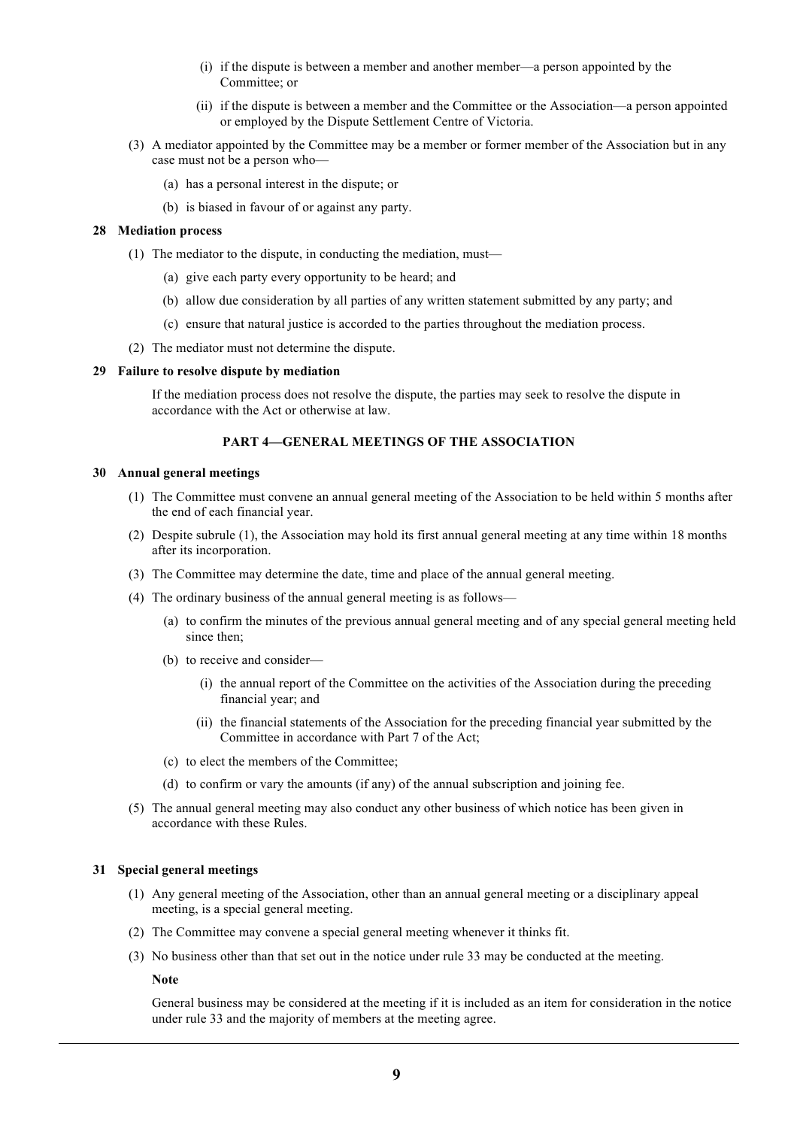- (i) if the dispute is between a member and another member—a person appointed by the Committee; or
- (ii) if the dispute is between a member and the Committee or the Association—a person appointed or employed by the Dispute Settlement Centre of Victoria.
- (3) A mediator appointed by the Committee may be a member or former member of the Association but in any case must not be a person who—
	- (a) has a personal interest in the dispute; or
	- (b) is biased in favour of or against any party.

#### **28 Mediation process**

- (1) The mediator to the dispute, in conducting the mediation, must—
	- (a) give each party every opportunity to be heard; and
	- (b) allow due consideration by all parties of any written statement submitted by any party; and
	- (c) ensure that natural justice is accorded to the parties throughout the mediation process.
- (2) The mediator must not determine the dispute.

#### **29 Failure to resolve dispute by mediation**

If the mediation process does not resolve the dispute, the parties may seek to resolve the dispute in accordance with the Act or otherwise at law.

# **PART 4—GENERAL MEETINGS OF THE ASSOCIATION**

#### **30 Annual general meetings**

- (1) The Committee must convene an annual general meeting of the Association to be held within 5 months after the end of each financial year.
- (2) Despite subrule (1), the Association may hold its first annual general meeting at any time within 18 months after its incorporation.
- (3) The Committee may determine the date, time and place of the annual general meeting.
- (4) The ordinary business of the annual general meeting is as follows—
	- (a) to confirm the minutes of the previous annual general meeting and of any special general meeting held since then;
	- (b) to receive and consider—
		- (i) the annual report of the Committee on the activities of the Association during the preceding financial year; and
		- (ii) the financial statements of the Association for the preceding financial year submitted by the Committee in accordance with Part 7 of the Act;
	- (c) to elect the members of the Committee;
	- (d) to confirm or vary the amounts (if any) of the annual subscription and joining fee.
- (5) The annual general meeting may also conduct any other business of which notice has been given in accordance with these Rules.

# **31 Special general meetings**

- (1) Any general meeting of the Association, other than an annual general meeting or a disciplinary appeal meeting, is a special general meeting.
- (2) The Committee may convene a special general meeting whenever it thinks fit.
- (3) No business other than that set out in the notice under rule 33 may be conducted at the meeting.

**Note**

General business may be considered at the meeting if it is included as an item for consideration in the notice under rule 33 and the majority of members at the meeting agree.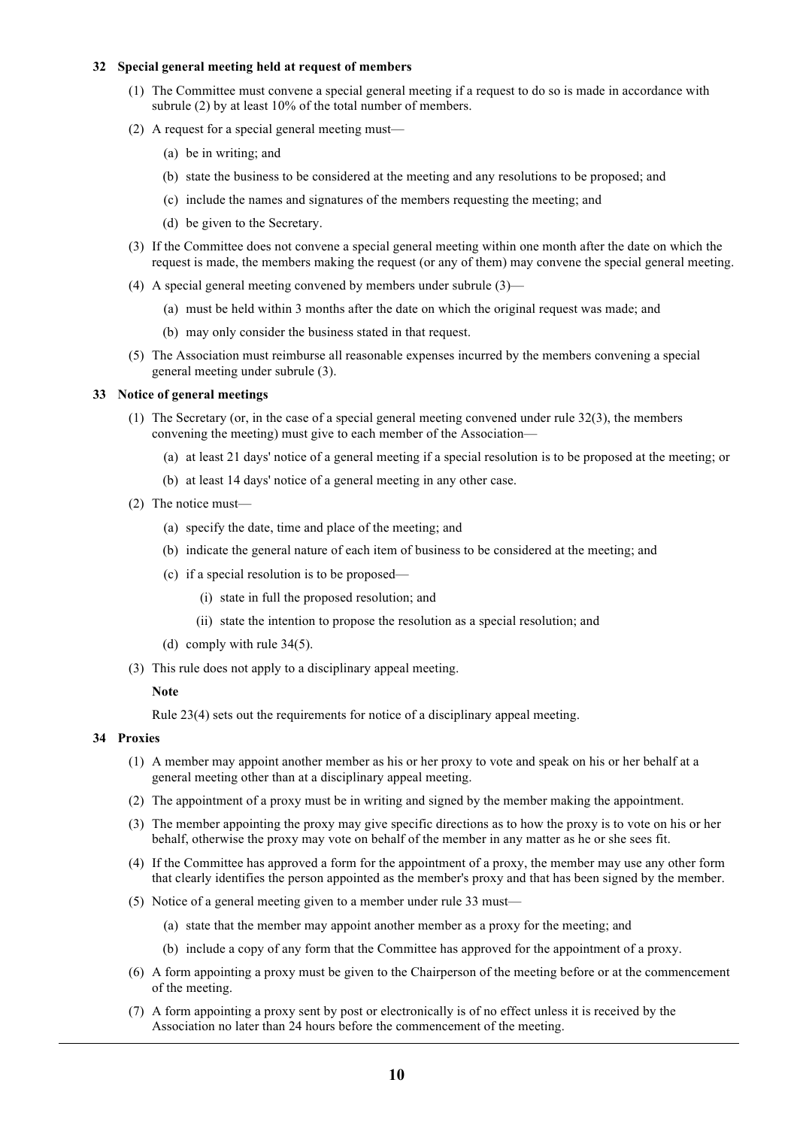# **32 Special general meeting held at request of members**

- (1) The Committee must convene a special general meeting if a request to do so is made in accordance with subrule (2) by at least 10% of the total number of members.
- (2) A request for a special general meeting must—
	- (a) be in writing; and
	- (b) state the business to be considered at the meeting and any resolutions to be proposed; and
	- (c) include the names and signatures of the members requesting the meeting; and
	- (d) be given to the Secretary.
- (3) If the Committee does not convene a special general meeting within one month after the date on which the request is made, the members making the request (or any of them) may convene the special general meeting.
- (4) A special general meeting convened by members under subrule (3)—
	- (a) must be held within 3 months after the date on which the original request was made; and
	- (b) may only consider the business stated in that request.
- (5) The Association must reimburse all reasonable expenses incurred by the members convening a special general meeting under subrule (3).

# **33 Notice of general meetings**

- (1) The Secretary (or, in the case of a special general meeting convened under rule 32(3), the members convening the meeting) must give to each member of the Association—
	- (a) at least 21 days' notice of a general meeting if a special resolution is to be proposed at the meeting; or
	- (b) at least 14 days' notice of a general meeting in any other case.
- (2) The notice must—
	- (a) specify the date, time and place of the meeting; and
	- (b) indicate the general nature of each item of business to be considered at the meeting; and
	- (c) if a special resolution is to be proposed—
		- (i) state in full the proposed resolution; and
		- (ii) state the intention to propose the resolution as a special resolution; and
	- (d) comply with rule 34(5).
- (3) This rule does not apply to a disciplinary appeal meeting.

### **Note**

Rule 23(4) sets out the requirements for notice of a disciplinary appeal meeting.

### **34 Proxies**

- (1) A member may appoint another member as his or her proxy to vote and speak on his or her behalf at a general meeting other than at a disciplinary appeal meeting.
- (2) The appointment of a proxy must be in writing and signed by the member making the appointment.
- (3) The member appointing the proxy may give specific directions as to how the proxy is to vote on his or her behalf, otherwise the proxy may vote on behalf of the member in any matter as he or she sees fit.
- (4) If the Committee has approved a form for the appointment of a proxy, the member may use any other form that clearly identifies the person appointed as the member's proxy and that has been signed by the member.
- (5) Notice of a general meeting given to a member under rule 33 must—
	- (a) state that the member may appoint another member as a proxy for the meeting; and
	- (b) include a copy of any form that the Committee has approved for the appointment of a proxy.
- (6) A form appointing a proxy must be given to the Chairperson of the meeting before or at the commencement of the meeting.
- (7) A form appointing a proxy sent by post or electronically is of no effect unless it is received by the Association no later than 24 hours before the commencement of the meeting.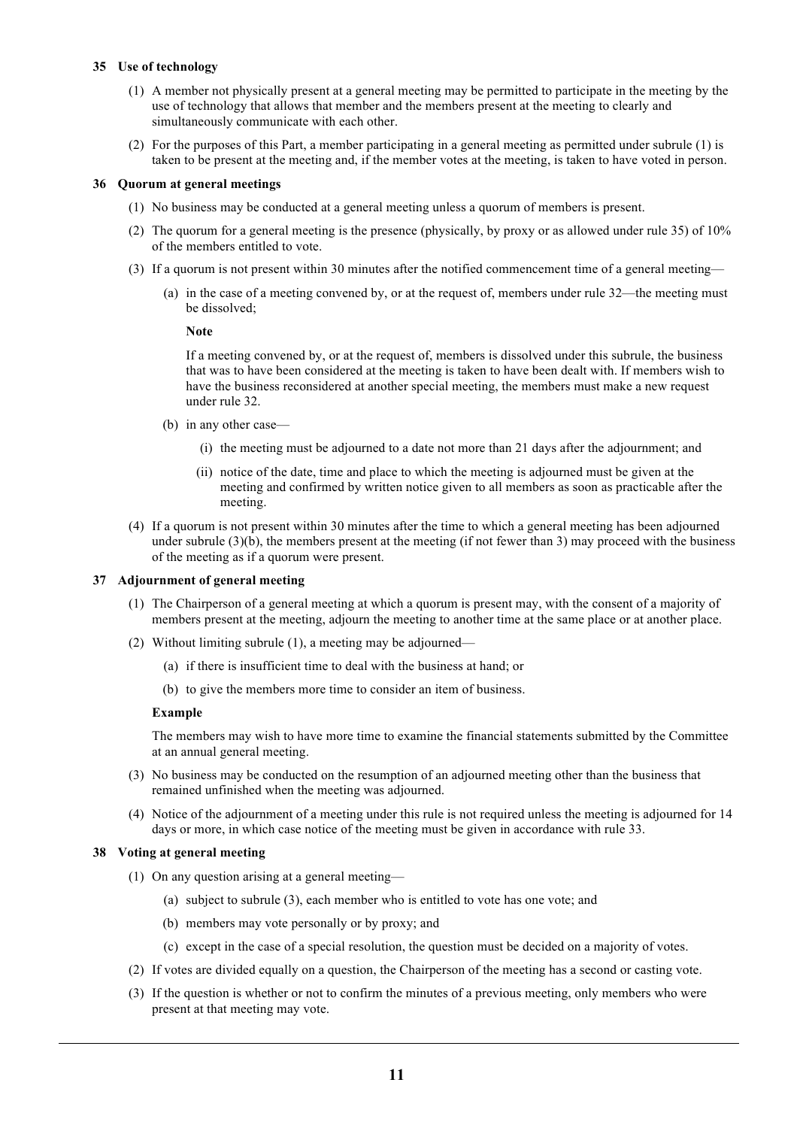# **35 Use of technology**

- (1) A member not physically present at a general meeting may be permitted to participate in the meeting by the use of technology that allows that member and the members present at the meeting to clearly and simultaneously communicate with each other.
- (2) For the purposes of this Part, a member participating in a general meeting as permitted under subrule (1) is taken to be present at the meeting and, if the member votes at the meeting, is taken to have voted in person.

# **36 Quorum at general meetings**

- (1) No business may be conducted at a general meeting unless a quorum of members is present.
- (2) The quorum for a general meeting is the presence (physically, by proxy or as allowed under rule 35) of 10% of the members entitled to vote.
- (3) If a quorum is not present within 30 minutes after the notified commencement time of a general meeting—
	- (a) in the case of a meeting convened by, or at the request of, members under rule 32—the meeting must be dissolved;

# **Note**

If a meeting convened by, or at the request of, members is dissolved under this subrule, the business that was to have been considered at the meeting is taken to have been dealt with. If members wish to have the business reconsidered at another special meeting, the members must make a new request under rule 32.

- (b) in any other case—
	- (i) the meeting must be adjourned to a date not more than 21 days after the adjournment; and
	- (ii) notice of the date, time and place to which the meeting is adjourned must be given at the meeting and confirmed by written notice given to all members as soon as practicable after the meeting.
- (4) If a quorum is not present within 30 minutes after the time to which a general meeting has been adjourned under subrule (3)(b), the members present at the meeting (if not fewer than 3) may proceed with the business of the meeting as if a quorum were present.

# **37 Adjournment of general meeting**

- (1) The Chairperson of a general meeting at which a quorum is present may, with the consent of a majority of members present at the meeting, adjourn the meeting to another time at the same place or at another place.
- (2) Without limiting subrule (1), a meeting may be adjourned—
	- (a) if there is insufficient time to deal with the business at hand; or
	- (b) to give the members more time to consider an item of business.

### **Example**

The members may wish to have more time to examine the financial statements submitted by the Committee at an annual general meeting.

- (3) No business may be conducted on the resumption of an adjourned meeting other than the business that remained unfinished when the meeting was adjourned.
- (4) Notice of the adjournment of a meeting under this rule is not required unless the meeting is adjourned for 14 days or more, in which case notice of the meeting must be given in accordance with rule 33.

### **38 Voting at general meeting**

- (1) On any question arising at a general meeting—
	- (a) subject to subrule (3), each member who is entitled to vote has one vote; and
	- (b) members may vote personally or by proxy; and
	- (c) except in the case of a special resolution, the question must be decided on a majority of votes.
- (2) If votes are divided equally on a question, the Chairperson of the meeting has a second or casting vote.
- (3) If the question is whether or not to confirm the minutes of a previous meeting, only members who were present at that meeting may vote.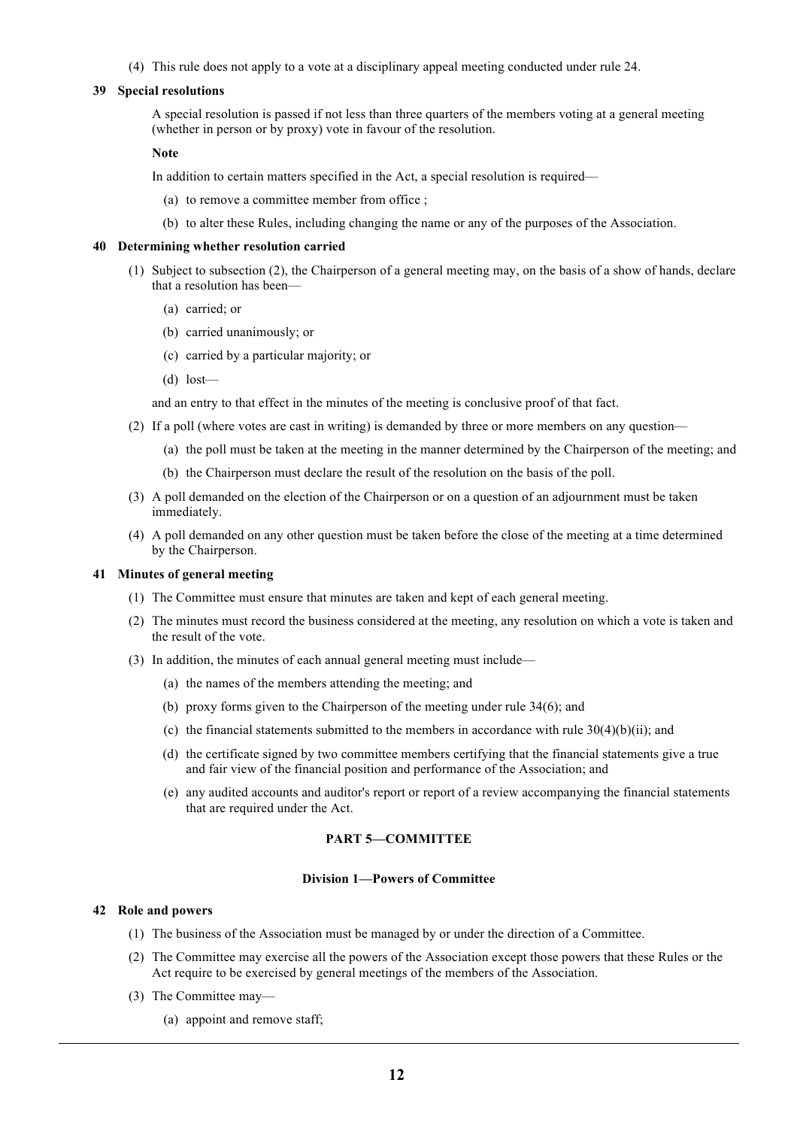(4) This rule does not apply to a vote at a disciplinary appeal meeting conducted under rule 24.

### **39 Special resolutions**

A special resolution is passed if not less than three quarters of the members voting at a general meeting (whether in person or by proxy) vote in favour of the resolution.

#### **Note**

In addition to certain matters specified in the Act, a special resolution is required—

- (a) to remove a committee member from office ;
- (b) to alter these Rules, including changing the name or any of the purposes of the Association.

#### **40 Determining whether resolution carried**

- (1) Subject to subsection (2), the Chairperson of a general meeting may, on the basis of a show of hands, declare that a resolution has been—
	- (a) carried; or
	- (b) carried unanimously; or
	- (c) carried by a particular majority; or
	- (d) lost—

and an entry to that effect in the minutes of the meeting is conclusive proof of that fact.

- (2) If a poll (where votes are cast in writing) is demanded by three or more members on any question—
	- (a) the poll must be taken at the meeting in the manner determined by the Chairperson of the meeting; and
	- (b) the Chairperson must declare the result of the resolution on the basis of the poll.
- (3) A poll demanded on the election of the Chairperson or on a question of an adjournment must be taken immediately.
- (4) A poll demanded on any other question must be taken before the close of the meeting at a time determined by the Chairperson.

### **41 Minutes of general meeting**

- (1) The Committee must ensure that minutes are taken and kept of each general meeting.
- (2) The minutes must record the business considered at the meeting, any resolution on which a vote is taken and the result of the vote.
- (3) In addition, the minutes of each annual general meeting must include—
	- (a) the names of the members attending the meeting; and
	- (b) proxy forms given to the Chairperson of the meeting under rule 34(6); and
	- (c) the financial statements submitted to the members in accordance with rule 30(4)(b)(ii); and
	- (d) the certificate signed by two committee members certifying that the financial statements give a true and fair view of the financial position and performance of the Association; and
	- (e) any audited accounts and auditor's report or report of a review accompanying the financial statements that are required under the Act.

# **PART 5—COMMITTEE**

#### **Division 1—Powers of Committee**

### **42 Role and powers**

- (1) The business of the Association must be managed by or under the direction of a Committee.
- (2) The Committee may exercise all the powers of the Association except those powers that these Rules or the Act require to be exercised by general meetings of the members of the Association.
- (3) The Committee may—
	- (a) appoint and remove staff;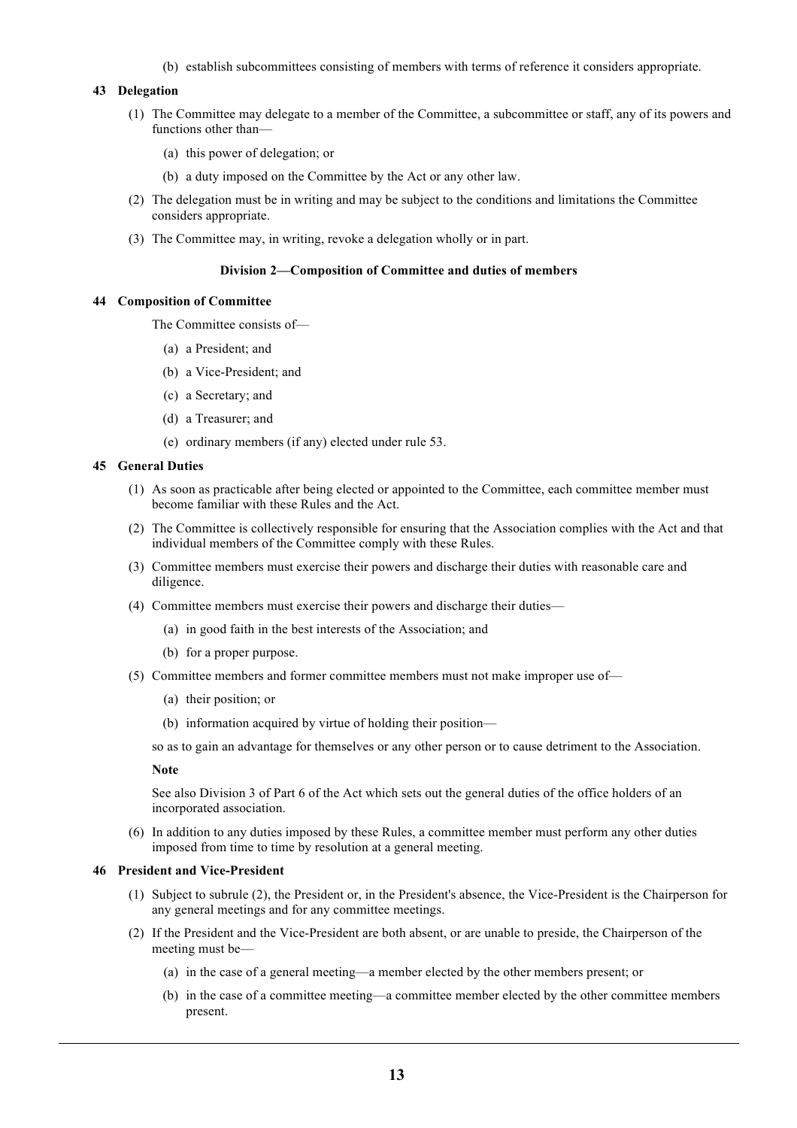(b) establish subcommittees consisting of members with terms of reference it considers appropriate.

# **43 Delegation**

- (1) The Committee may delegate to a member of the Committee, a subcommittee or staff, any of its powers and functions other than—
	- (a) this power of delegation; or
	- (b) a duty imposed on the Committee by the Act or any other law.
- (2) The delegation must be in writing and may be subject to the conditions and limitations the Committee considers appropriate.
- (3) The Committee may, in writing, revoke a delegation wholly or in part.

#### **Division 2—Composition of Committee and duties of members**

# **44 Composition of Committee**

The Committee consists of—

- (a) a President; and
- (b) a Vice-President; and
- (c) a Secretary; and
- (d) a Treasurer; and
- (e) ordinary members (if any) elected under rule 53.

### **45 General Duties**

- (1) As soon as practicable after being elected or appointed to the Committee, each committee member must become familiar with these Rules and the Act.
- (2) The Committee is collectively responsible for ensuring that the Association complies with the Act and that individual members of the Committee comply with these Rules.
- (3) Committee members must exercise their powers and discharge their duties with reasonable care and diligence.
- (4) Committee members must exercise their powers and discharge their duties—
	- (a) in good faith in the best interests of the Association; and
	- (b) for a proper purpose.
- (5) Committee members and former committee members must not make improper use of—
	- (a) their position; or
	- (b) information acquired by virtue of holding their position—

so as to gain an advantage for themselves or any other person or to cause detriment to the Association.

# **Note**

See also Division 3 of Part 6 of the Act which sets out the general duties of the office holders of an incorporated association.

(6) In addition to any duties imposed by these Rules, a committee member must perform any other duties imposed from time to time by resolution at a general meeting.

#### **46 President and Vice-President**

- (1) Subject to subrule (2), the President or, in the President's absence, the Vice-President is the Chairperson for any general meetings and for any committee meetings.
- (2) If the President and the Vice-President are both absent, or are unable to preside, the Chairperson of the meeting must be—
	- (a) in the case of a general meeting—a member elected by the other members present; or
	- (b) in the case of a committee meeting—a committee member elected by the other committee members present.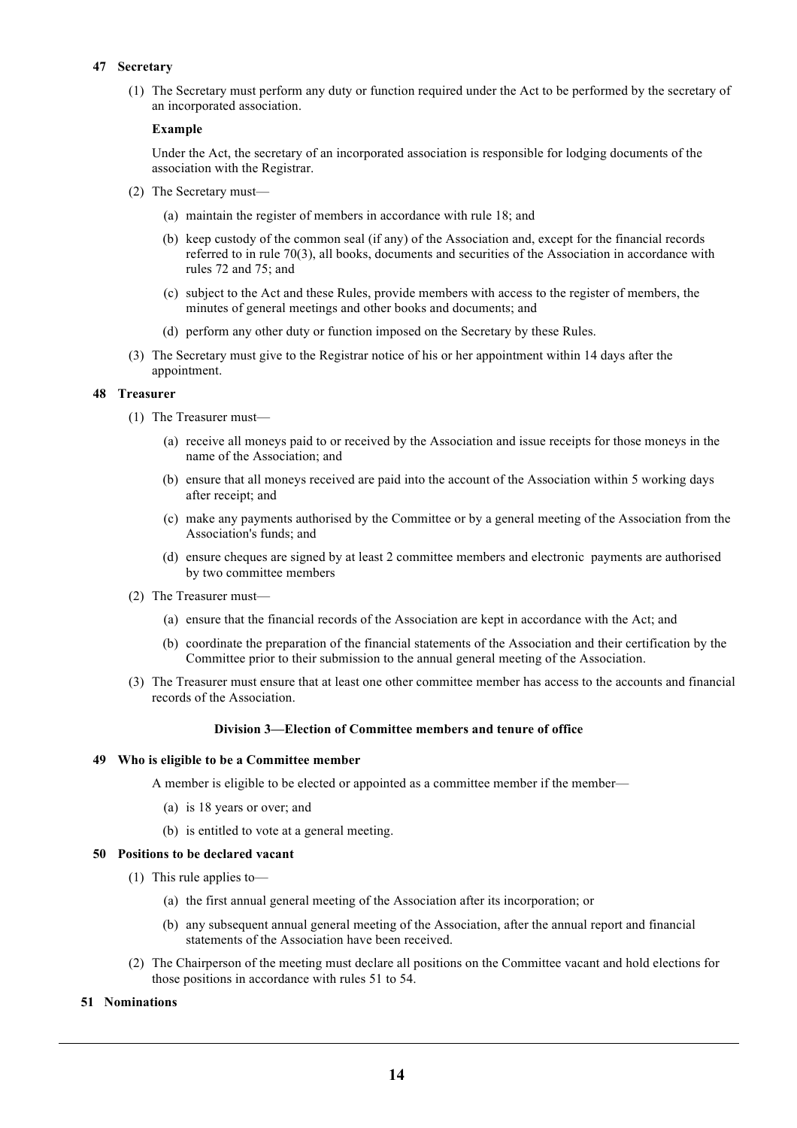# **47 Secretary**

(1) The Secretary must perform any duty or function required under the Act to be performed by the secretary of an incorporated association.

# **Example**

Under the Act, the secretary of an incorporated association is responsible for lodging documents of the association with the Registrar.

- (2) The Secretary must—
	- (a) maintain the register of members in accordance with rule 18; and
	- (b) keep custody of the common seal (if any) of the Association and, except for the financial records referred to in rule 70(3), all books, documents and securities of the Association in accordance with rules 72 and 75; and
	- (c) subject to the Act and these Rules, provide members with access to the register of members, the minutes of general meetings and other books and documents; and
	- (d) perform any other duty or function imposed on the Secretary by these Rules.
- (3) The Secretary must give to the Registrar notice of his or her appointment within 14 days after the appointment.

# **48 Treasurer**

- (1) The Treasurer must—
	- (a) receive all moneys paid to or received by the Association and issue receipts for those moneys in the name of the Association; and
	- (b) ensure that all moneys received are paid into the account of the Association within 5 working days after receipt; and
	- (c) make any payments authorised by the Committee or by a general meeting of the Association from the Association's funds; and
	- (d) ensure cheques are signed by at least 2 committee members and electronic payments are authorised by two committee members
- (2) The Treasurer must—
	- (a) ensure that the financial records of the Association are kept in accordance with the Act; and
	- (b) coordinate the preparation of the financial statements of the Association and their certification by the Committee prior to their submission to the annual general meeting of the Association.
- (3) The Treasurer must ensure that at least one other committee member has access to the accounts and financial records of the Association.

### **Division 3—Election of Committee members and tenure of office**

### **49 Who is eligible to be a Committee member**

A member is eligible to be elected or appointed as a committee member if the member—

- (a) is 18 years or over; and
- (b) is entitled to vote at a general meeting.

# **50 Positions to be declared vacant**

- (1) This rule applies to—
	- (a) the first annual general meeting of the Association after its incorporation; or
	- (b) any subsequent annual general meeting of the Association, after the annual report and financial statements of the Association have been received.
- (2) The Chairperson of the meeting must declare all positions on the Committee vacant and hold elections for those positions in accordance with rules 51 to 54.

### **51 Nominations**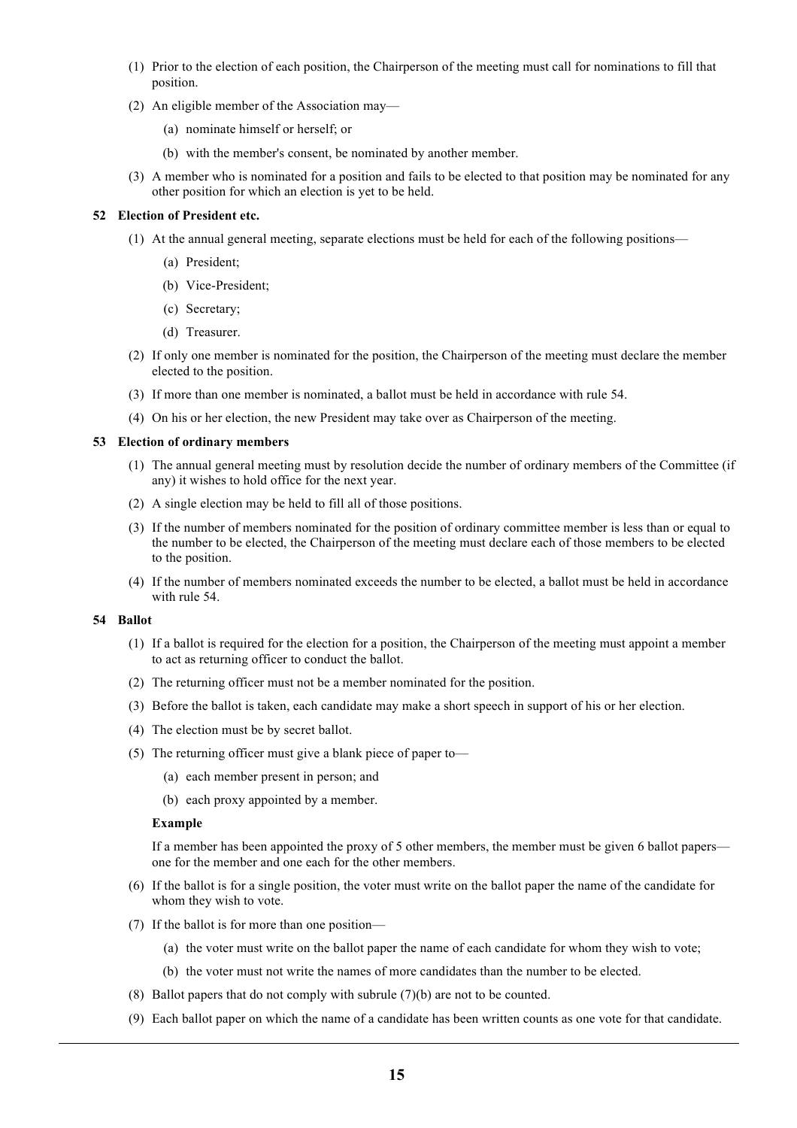- (1) Prior to the election of each position, the Chairperson of the meeting must call for nominations to fill that position.
- (2) An eligible member of the Association may—
	- (a) nominate himself or herself; or
	- (b) with the member's consent, be nominated by another member.
- (3) A member who is nominated for a position and fails to be elected to that position may be nominated for any other position for which an election is yet to be held.

# **52 Election of President etc.**

- (1) At the annual general meeting, separate elections must be held for each of the following positions—
	- (a) President;
	- (b) Vice-President;
	- (c) Secretary;
	- (d) Treasurer.
- (2) If only one member is nominated for the position, the Chairperson of the meeting must declare the member elected to the position.
- (3) If more than one member is nominated, a ballot must be held in accordance with rule 54.
- (4) On his or her election, the new President may take over as Chairperson of the meeting.

# **53 Election of ordinary members**

- (1) The annual general meeting must by resolution decide the number of ordinary members of the Committee (if any) it wishes to hold office for the next year.
- (2) A single election may be held to fill all of those positions.
- (3) If the number of members nominated for the position of ordinary committee member is less than or equal to the number to be elected, the Chairperson of the meeting must declare each of those members to be elected to the position.
- (4) If the number of members nominated exceeds the number to be elected, a ballot must be held in accordance with rule 54.

### **54 Ballot**

- (1) If a ballot is required for the election for a position, the Chairperson of the meeting must appoint a member to act as returning officer to conduct the ballot.
- (2) The returning officer must not be a member nominated for the position.
- (3) Before the ballot is taken, each candidate may make a short speech in support of his or her election.
- (4) The election must be by secret ballot.
- (5) The returning officer must give a blank piece of paper to—
	- (a) each member present in person; and
	- (b) each proxy appointed by a member.

### **Example**

If a member has been appointed the proxy of 5 other members, the member must be given 6 ballot papers one for the member and one each for the other members.

- (6) If the ballot is for a single position, the voter must write on the ballot paper the name of the candidate for whom they wish to vote.
- (7) If the ballot is for more than one position—
	- (a) the voter must write on the ballot paper the name of each candidate for whom they wish to vote;
	- (b) the voter must not write the names of more candidates than the number to be elected.
- (8) Ballot papers that do not comply with subrule (7)(b) are not to be counted.
- (9) Each ballot paper on which the name of a candidate has been written counts as one vote for that candidate.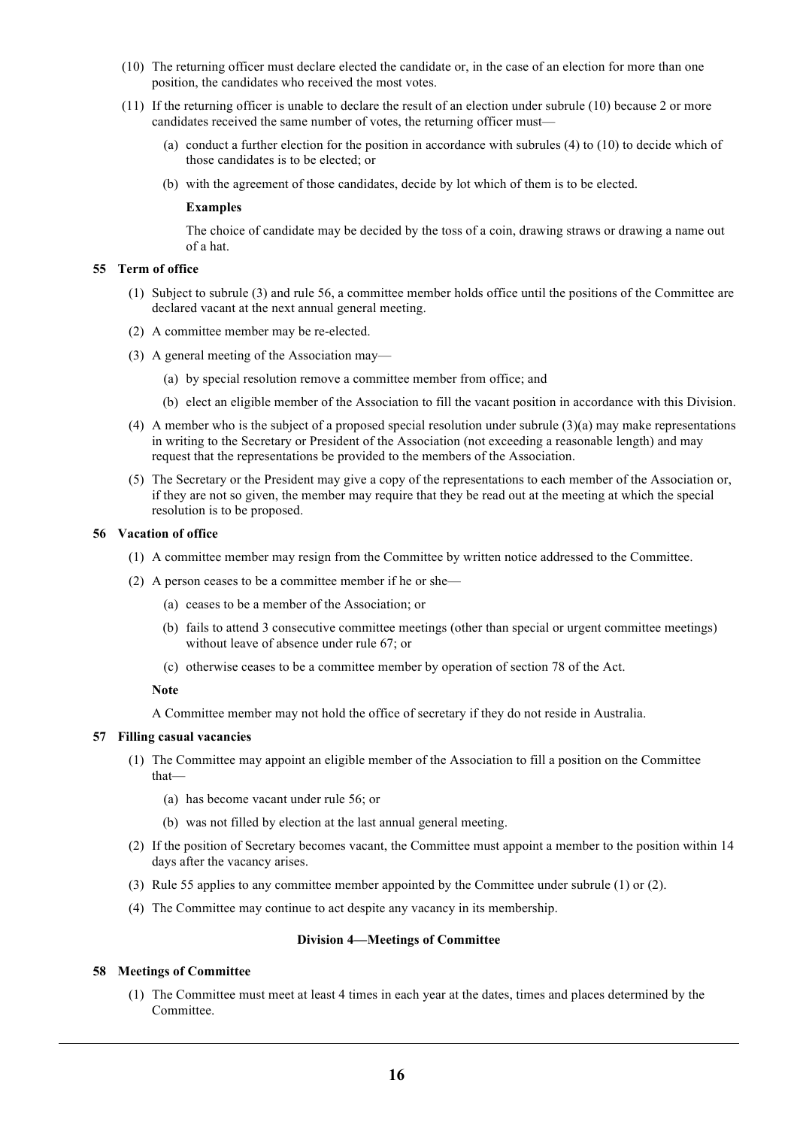- (10) The returning officer must declare elected the candidate or, in the case of an election for more than one position, the candidates who received the most votes.
- (11) If the returning officer is unable to declare the result of an election under subrule (10) because 2 or more candidates received the same number of votes, the returning officer must—
	- (a) conduct a further election for the position in accordance with subrules (4) to (10) to decide which of those candidates is to be elected; or
	- (b) with the agreement of those candidates, decide by lot which of them is to be elected.

### **Examples**

The choice of candidate may be decided by the toss of a coin, drawing straws or drawing a name out of a hat.

### **55 Term of office**

- (1) Subject to subrule (3) and rule 56, a committee member holds office until the positions of the Committee are declared vacant at the next annual general meeting.
- (2) A committee member may be re-elected.
- (3) A general meeting of the Association may—
	- (a) by special resolution remove a committee member from office; and
	- (b) elect an eligible member of the Association to fill the vacant position in accordance with this Division.
- (4) A member who is the subject of a proposed special resolution under subrule (3)(a) may make representations in writing to the Secretary or President of the Association (not exceeding a reasonable length) and may request that the representations be provided to the members of the Association.
- (5) The Secretary or the President may give a copy of the representations to each member of the Association or, if they are not so given, the member may require that they be read out at the meeting at which the special resolution is to be proposed.

# **56 Vacation of office**

- (1) A committee member may resign from the Committee by written notice addressed to the Committee.
- (2) A person ceases to be a committee member if he or she—
	- (a) ceases to be a member of the Association; or
	- (b) fails to attend 3 consecutive committee meetings (other than special or urgent committee meetings) without leave of absence under rule 67; or
	- (c) otherwise ceases to be a committee member by operation of section 78 of the Act.

**Note**

A Committee member may not hold the office of secretary if they do not reside in Australia.

### **57 Filling casual vacancies**

- (1) The Committee may appoint an eligible member of the Association to fill a position on the Committee that—
	- (a) has become vacant under rule 56; or
	- (b) was not filled by election at the last annual general meeting.
- (2) If the position of Secretary becomes vacant, the Committee must appoint a member to the position within 14 days after the vacancy arises.
- (3) Rule 55 applies to any committee member appointed by the Committee under subrule (1) or (2).
- (4) The Committee may continue to act despite any vacancy in its membership.

### **Division 4—Meetings of Committee**

### **58 Meetings of Committee**

(1) The Committee must meet at least 4 times in each year at the dates, times and places determined by the Committee.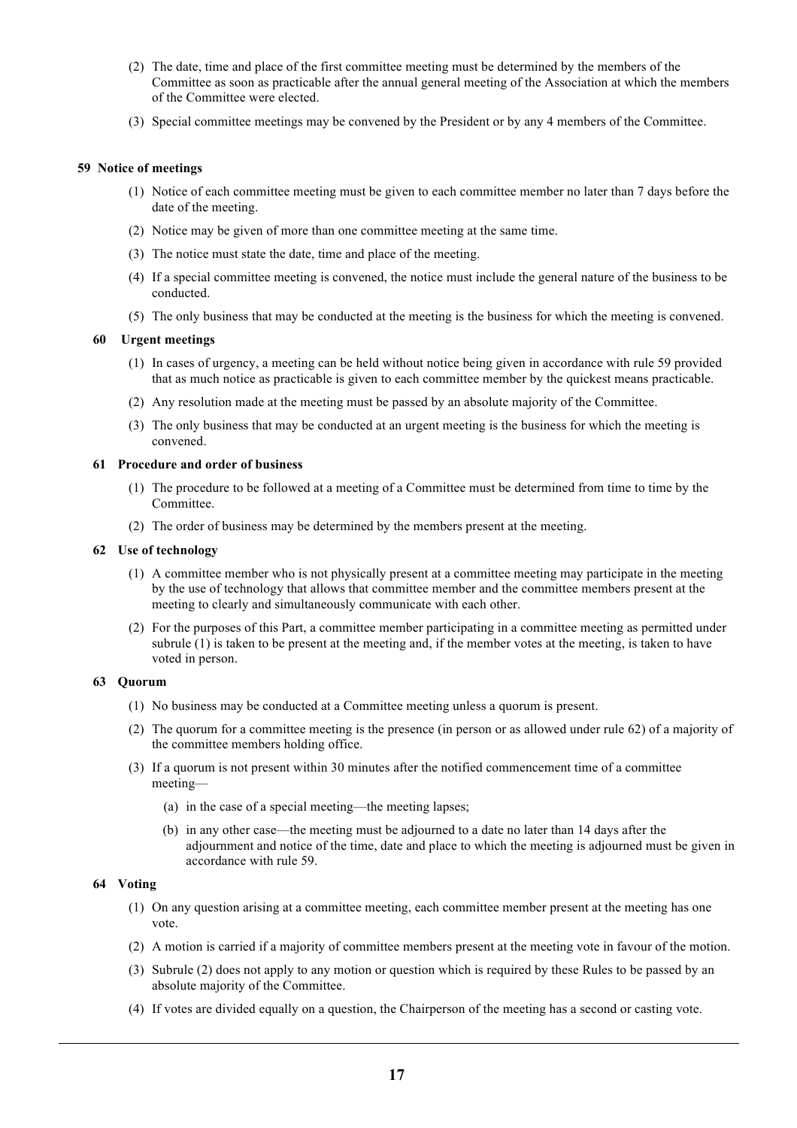- (2) The date, time and place of the first committee meeting must be determined by the members of the Committee as soon as practicable after the annual general meeting of the Association at which the members of the Committee were elected.
- (3) Special committee meetings may be convened by the President or by any 4 members of the Committee.

# **59 Notice of meetings**

- (1) Notice of each committee meeting must be given to each committee member no later than 7 days before the date of the meeting.
- (2) Notice may be given of more than one committee meeting at the same time.
- (3) The notice must state the date, time and place of the meeting.
- (4) If a special committee meeting is convened, the notice must include the general nature of the business to be conducted.
- (5) The only business that may be conducted at the meeting is the business for which the meeting is convened.

# **60 Urgent meetings**

- (1) In cases of urgency, a meeting can be held without notice being given in accordance with rule 59 provided that as much notice as practicable is given to each committee member by the quickest means practicable.
- (2) Any resolution made at the meeting must be passed by an absolute majority of the Committee.
- (3) The only business that may be conducted at an urgent meeting is the business for which the meeting is convened.

# **61 Procedure and order of business**

- (1) The procedure to be followed at a meeting of a Committee must be determined from time to time by the Committee.
- (2) The order of business may be determined by the members present at the meeting.

### **62 Use of technology**

- (1) A committee member who is not physically present at a committee meeting may participate in the meeting by the use of technology that allows that committee member and the committee members present at the meeting to clearly and simultaneously communicate with each other.
- (2) For the purposes of this Part, a committee member participating in a committee meeting as permitted under subrule (1) is taken to be present at the meeting and, if the member votes at the meeting, is taken to have voted in person.

# **63 Quorum**

- (1) No business may be conducted at a Committee meeting unless a quorum is present.
- (2) The quorum for a committee meeting is the presence (in person or as allowed under rule 62) of a majority of the committee members holding office.
- (3) If a quorum is not present within 30 minutes after the notified commencement time of a committee meeting—
	- (a) in the case of a special meeting—the meeting lapses;
	- (b) in any other case—the meeting must be adjourned to a date no later than 14 days after the adjournment and notice of the time, date and place to which the meeting is adjourned must be given in accordance with rule 59.

### **64 Voting**

- (1) On any question arising at a committee meeting, each committee member present at the meeting has one vote.
- (2) A motion is carried if a majority of committee members present at the meeting vote in favour of the motion.
- (3) Subrule (2) does not apply to any motion or question which is required by these Rules to be passed by an absolute majority of the Committee.
- (4) If votes are divided equally on a question, the Chairperson of the meeting has a second or casting vote.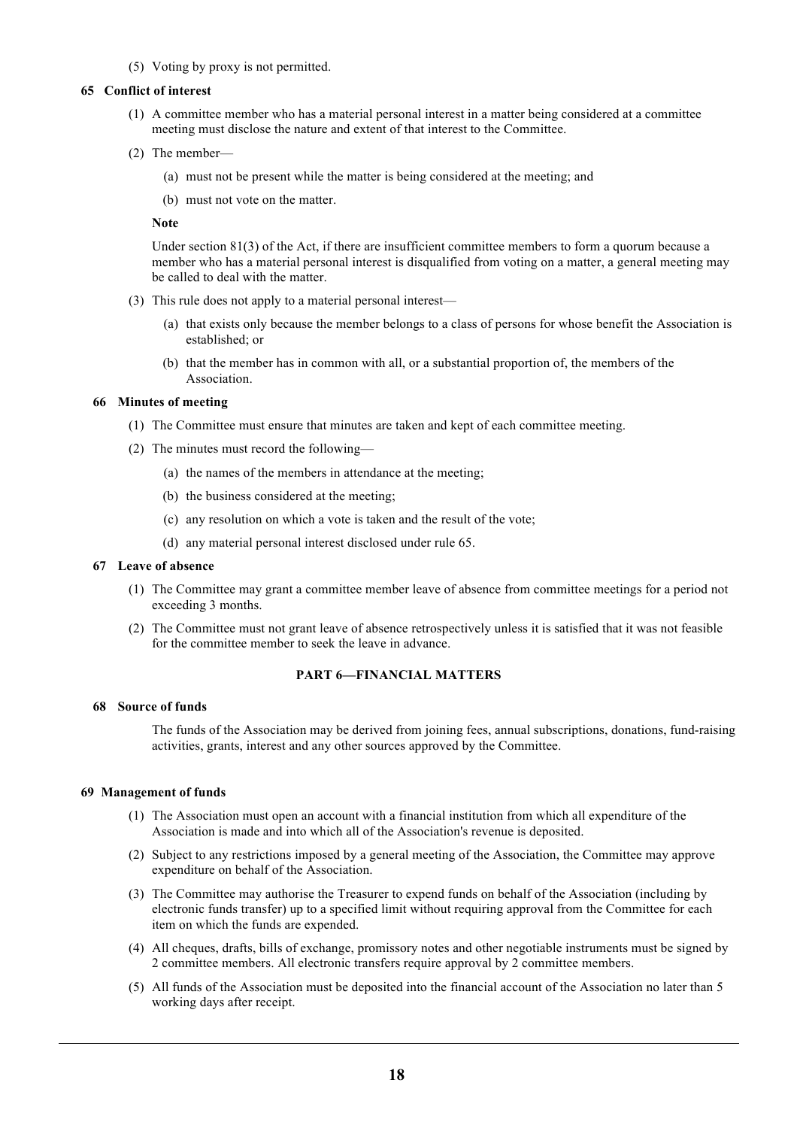(5) Voting by proxy is not permitted.

# **65 Conflict of interest**

- (1) A committee member who has a material personal interest in a matter being considered at a committee meeting must disclose the nature and extent of that interest to the Committee.
- (2) The member—
	- (a) must not be present while the matter is being considered at the meeting; and
	- (b) must not vote on the matter.

### **Note**

Under section 81(3) of the Act, if there are insufficient committee members to form a quorum because a member who has a material personal interest is disqualified from voting on a matter, a general meeting may be called to deal with the matter.

- (3) This rule does not apply to a material personal interest—
	- (a) that exists only because the member belongs to a class of persons for whose benefit the Association is established; or
	- (b) that the member has in common with all, or a substantial proportion of, the members of the Association.

# **66 Minutes of meeting**

- (1) The Committee must ensure that minutes are taken and kept of each committee meeting.
- (2) The minutes must record the following—
	- (a) the names of the members in attendance at the meeting;
	- (b) the business considered at the meeting;
	- (c) any resolution on which a vote is taken and the result of the vote;
	- (d) any material personal interest disclosed under rule 65.

### **67 Leave of absence**

- (1) The Committee may grant a committee member leave of absence from committee meetings for a period not exceeding 3 months.
- (2) The Committee must not grant leave of absence retrospectively unless it is satisfied that it was not feasible for the committee member to seek the leave in advance.

# **PART 6—FINANCIAL MATTERS**

#### **68 Source of funds**

The funds of the Association may be derived from joining fees, annual subscriptions, donations, fund-raising activities, grants, interest and any other sources approved by the Committee.

### **69 Management of funds**

- (1) The Association must open an account with a financial institution from which all expenditure of the Association is made and into which all of the Association's revenue is deposited.
- (2) Subject to any restrictions imposed by a general meeting of the Association, the Committee may approve expenditure on behalf of the Association.
- (3) The Committee may authorise the Treasurer to expend funds on behalf of the Association (including by electronic funds transfer) up to a specified limit without requiring approval from the Committee for each item on which the funds are expended.
- (4) All cheques, drafts, bills of exchange, promissory notes and other negotiable instruments must be signed by 2 committee members. All electronic transfers require approval by 2 committee members.
- (5) All funds of the Association must be deposited into the financial account of the Association no later than 5 working days after receipt.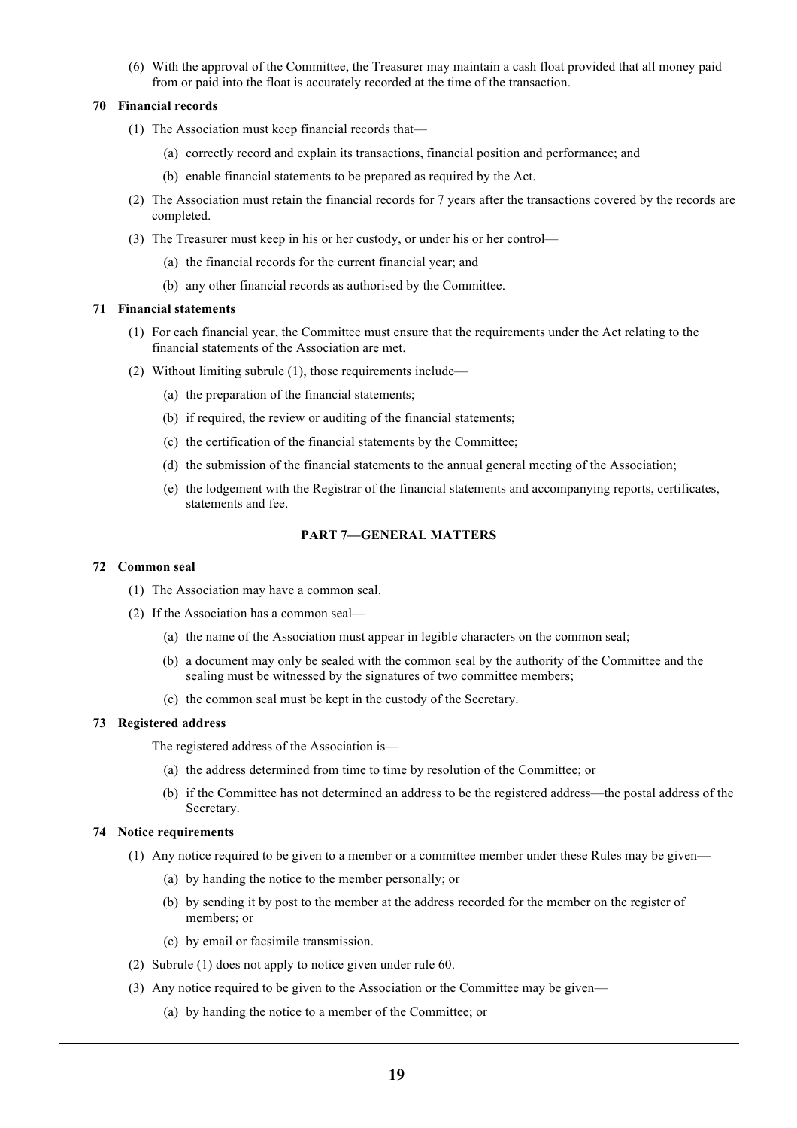(6) With the approval of the Committee, the Treasurer may maintain a cash float provided that all money paid from or paid into the float is accurately recorded at the time of the transaction.

# **70 Financial records**

- (1) The Association must keep financial records that—
	- (a) correctly record and explain its transactions, financial position and performance; and
	- (b) enable financial statements to be prepared as required by the Act.
- (2) The Association must retain the financial records for 7 years after the transactions covered by the records are completed.
- (3) The Treasurer must keep in his or her custody, or under his or her control—
	- (a) the financial records for the current financial year; and
	- (b) any other financial records as authorised by the Committee.

# **71 Financial statements**

- (1) For each financial year, the Committee must ensure that the requirements under the Act relating to the financial statements of the Association are met.
- (2) Without limiting subrule (1), those requirements include—
	- (a) the preparation of the financial statements;
	- (b) if required, the review or auditing of the financial statements;
	- (c) the certification of the financial statements by the Committee;
	- (d) the submission of the financial statements to the annual general meeting of the Association;
	- (e) the lodgement with the Registrar of the financial statements and accompanying reports, certificates, statements and fee.

# **PART 7—GENERAL MATTERS**

# **72 Common seal**

- (1) The Association may have a common seal.
- (2) If the Association has a common seal—
	- (a) the name of the Association must appear in legible characters on the common seal;
	- (b) a document may only be sealed with the common seal by the authority of the Committee and the sealing must be witnessed by the signatures of two committee members;
	- (c) the common seal must be kept in the custody of the Secretary.

### **73 Registered address**

The registered address of the Association is—

- (a) the address determined from time to time by resolution of the Committee; or
- (b) if the Committee has not determined an address to be the registered address—the postal address of the Secretary.

# **74 Notice requirements**

- (1) Any notice required to be given to a member or a committee member under these Rules may be given—
	- (a) by handing the notice to the member personally; or
	- (b) by sending it by post to the member at the address recorded for the member on the register of members; or
	- (c) by email or facsimile transmission.
- (2) Subrule (1) does not apply to notice given under rule 60.
- (3) Any notice required to be given to the Association or the Committee may be given—
	- (a) by handing the notice to a member of the Committee; or